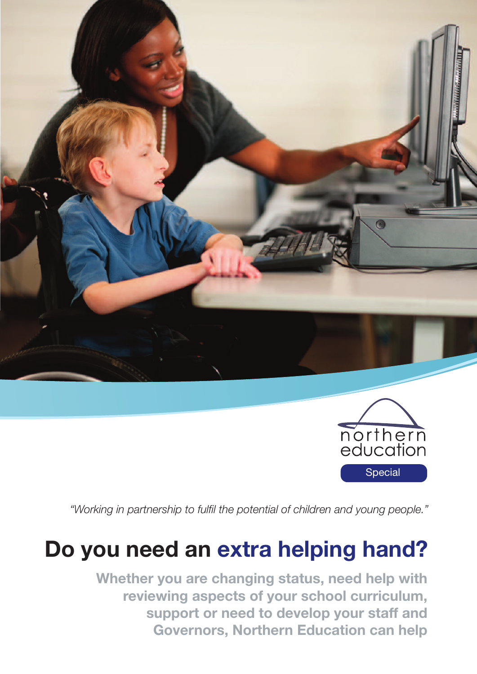



*"Working in partnership to fulfil the potential of children and young people."*

# **Do you need an extra helping hand?**

**Whether you are changing status, need help with reviewing aspects of your school curriculum, support or need to develop your staff and Governors, Northern Education can help**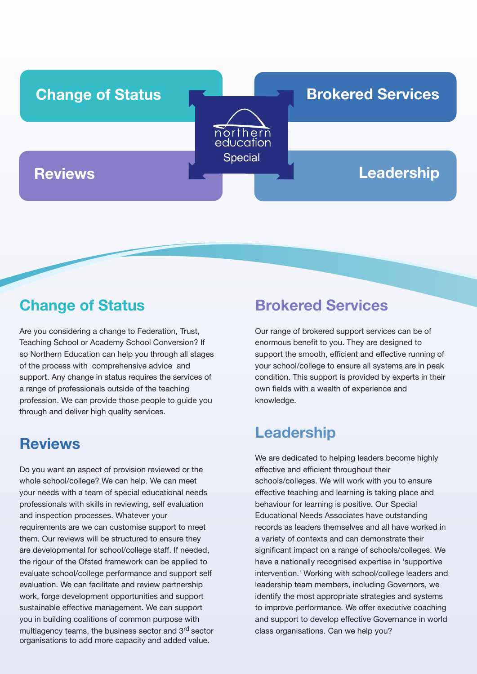

# **Change of Status**

Are you considering a change to Federation, Trust, Teaching School or Academy School Conversion? If so Northern Education can help you through all stages of the process with comprehensive advice and support. Any change in status requires the services of a range of professionals outside of the teaching profession. We can provide those people to guide you through and deliver high quality services.

### **Reviews**

Do you want an aspect of provision reviewed or the whole school/college? We can help. We can meet your needs with a team of special educational needs professionals with skills in reviewing, self evaluation and inspection processes. Whatever your requirements are we can customise support to meet them. Our reviews will be structured to ensure they are developmental for school/college staff. If needed, the rigour of the Ofsted framework can be applied to evaluate school/college performance and support self evaluation. We can facilitate and review partnership work, forge development opportunities and support sustainable effective management. We can support you in building coalitions of common purpose with multiagency teams, the business sector and 3rd sector organisations to add more capacity and added value.

## **Brokered Services**

Our range of brokered support services can be of enormous benefit to you. They are designed to support the smooth, efficient and effective running of your school/college to ensure all systems are in peak condition. This support is provided by experts in their own fields with a wealth of experience and knowledge.

# **Leadership**

We are dedicated to helping leaders become highly effective and efficient throughout their schools/colleges. We will work with you to ensure effective teaching and learning is taking place and behaviour for learning is positive. Our Special Educational Needs Associates have outstanding records as leaders themselves and all have worked in a variety of contexts and can demonstrate their significant impact on a range of schools/colleges. We have a nationally recognised expertise in 'supportive intervention.' Working with school/college leaders and leadership team members, including Governors, we identify the most appropriate strategies and systems to improve performance. We offer executive coaching and support to develop effective Governance in world class organisations. Can we help you?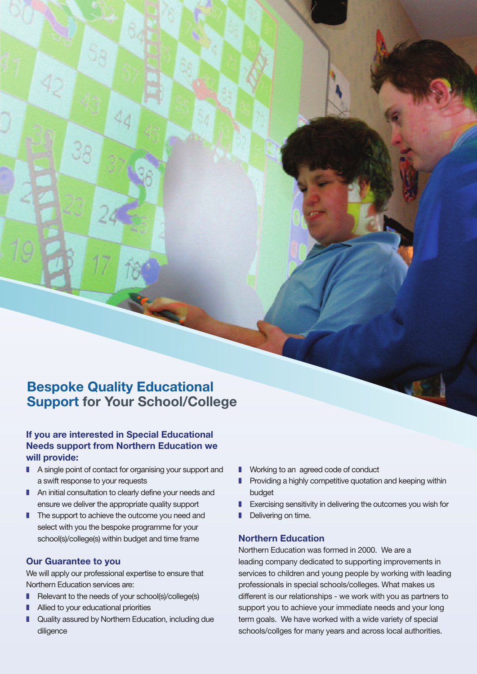### **Bespoke Quality Educational Support for Your School/College**

### **If you are interested in Special Educational Needs support from Northern Education we will provide:**

- A single point of contact for organising your support and a swift response to your requests
- An initial consultation to clearly define your needs and ensure we deliver the appropriate quality support
- The support to achieve the outcome you need and select with you the bespoke programme for your school(s)/college(s) within budget and time frame

#### **Our Guarantee to you**

We will apply our professional expertise to ensure that Northern Education services are:

- Relevant to the needs of your school(s)/college(s)
- Allied to your educational priorities
- Quality assured by Northern Education, including due diligence
- Working to an agreed code of conduct
- Providing a highly competitive quotation and keeping within budget
- Exercising sensitivity in delivering the outcomes you wish for
- **I** Delivering on time.

#### **Northern Education**

Northern Education was formed in 2000. We are a leading company dedicated to supporting improvements in services to children and young people by working with leading professionals in special schools/colleges. What makes us different is our relationships - we work with you as partners to support you to achieve your immediate needs and your long term goals. We have worked with a wide variety of special schools/collges for many years and across local authorities.